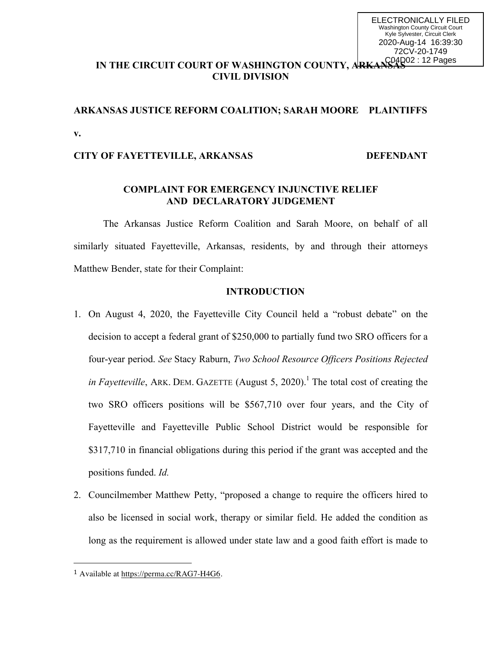## IN THE CIRCUIT COURT OF WASHINGTON COUNTY, ARKANSAS<sup>02 : 12 Pages</sup> **CIVIL DIVISION**

# **ARKANSAS JUSTICE REFORM COALITION; SARAH MOORE PLAINTIFFS v.**

## **CITY OF FAYETTEVILLE, ARKANSAS DEFENDANT**

### **COMPLAINT FOR EMERGENCY INJUNCTIVE RELIEF AND DECLARATORY JUDGEMENT**

The Arkansas Justice Reform Coalition and Sarah Moore, on behalf of all similarly situated Fayetteville, Arkansas, residents, by and through their attorneys Matthew Bender, state for their Complaint:

## **INTRODUCTION**

- 1. On August 4, 2020, the Fayetteville City Council held a "robust debate" on the decision to accept a federal grant of \$250,000 to partially fund two SRO officers for a four-year period. *See* Stacy Raburn, *Two School Resource Officers Positions Rejected in Fayetteville*, ARK. DEM. GAZETTE (August 5, 2020).<sup>1</sup> The total cost of creating the two SRO officers positions will be \$567,710 over four years, and the City of Fayetteville and Fayetteville Public School District would be responsible for \$317,710 in financial obligations during this period if the grant was accepted and the positions funded. *Id.*
- 2. Councilmember Matthew Petty, "proposed a change to require the officers hired to also be licensed in social work, therapy or similar field. He added the condition as long as the requirement is allowed under state law and a good faith effort is made to

 

<sup>1</sup> Available at https://perma.cc/RAG7-H4G6.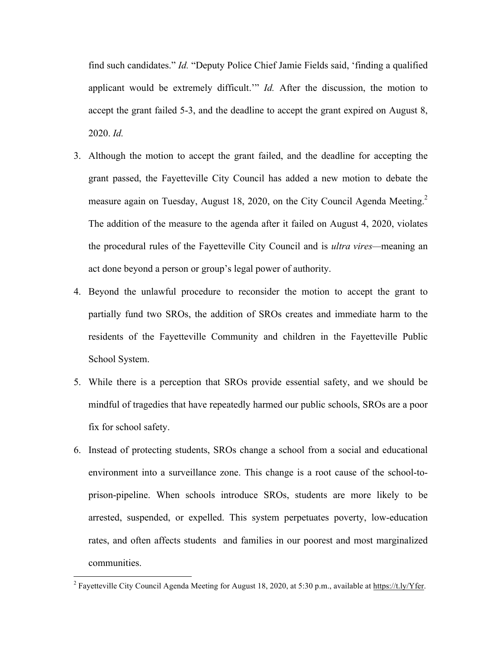find such candidates." *Id.* "Deputy Police Chief Jamie Fields said, 'finding a qualified applicant would be extremely difficult.'" *Id.* After the discussion, the motion to accept the grant failed 5-3, and the deadline to accept the grant expired on August 8, 2020. *Id.*

- 3. Although the motion to accept the grant failed, and the deadline for accepting the grant passed, the Fayetteville City Council has added a new motion to debate the measure again on Tuesday, August 18, 2020, on the City Council Agenda Meeting.<sup>2</sup> The addition of the measure to the agenda after it failed on August 4, 2020, violates the procedural rules of the Fayetteville City Council and is *ultra vires—*meaning an act done beyond a person or group's legal power of authority.
- 4. Beyond the unlawful procedure to reconsider the motion to accept the grant to partially fund two SROs, the addition of SROs creates and immediate harm to the residents of the Fayetteville Community and children in the Fayetteville Public School System.
- 5. While there is a perception that SROs provide essential safety, and we should be mindful of tragedies that have repeatedly harmed our public schools, SROs are a poor fix for school safety.
- 6. Instead of protecting students, SROs change a school from a social and educational environment into a surveillance zone. This change is a root cause of the school-toprison-pipeline. When schools introduce SROs, students are more likely to be arrested, suspended, or expelled. This system perpetuates poverty, low-education rates, and often affects students and families in our poorest and most marginalized communities.

<sup>&</sup>lt;sup>2</sup> Fayetteville City Council Agenda Meeting for August 18, 2020, at 5:30 p.m., available at https://t.ly/Yfer.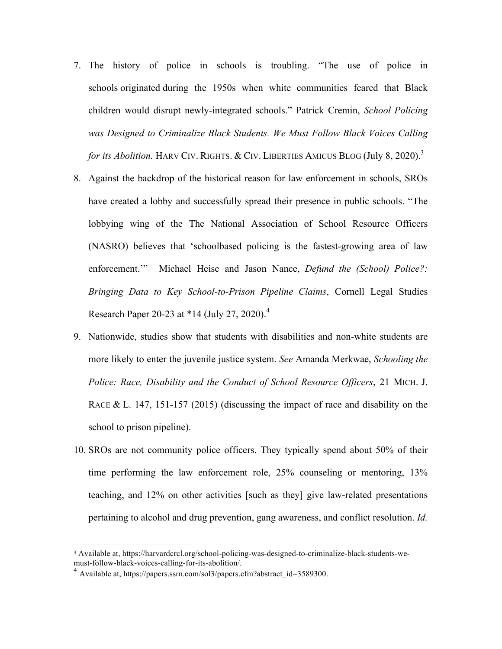- 7. The history of police in schools is troubling. "The use of police in schools originated during the 1950s when white communities feared that Black children would disrupt newly-integrated schools." Patrick Cremin, *School Policing was Designed to Criminalize Black Students. We Must Follow Black Voices Calling for its Abolition.* HARV CIV. RIGHTS. & CIV. LIBERTIES AMICUS BLOG (July 8, 2020).<sup>3</sup>
- 8. Against the backdrop of the historical reason for law enforcement in schools, SROs have created a lobby and successfully spread their presence in public schools. "The lobbying wing of the The National Association of School Resource Officers (NASRO) believes that 'schoolbased policing is the fastest-growing area of law enforcement.'" Michael Heise and Jason Nance, *Defund the (School) Police?: Bringing Data to Key School-to-Prison Pipeline Claims*, Cornell Legal Studies Research Paper 20-23 at  $*14$  (July 27, 2020).<sup>4</sup>
- 9. Nationwide, studies show that students with disabilities and non-white students are more likely to enter the juvenile justice system. *See* Amanda Merkwae, *Schooling the Police: Race, Disability and the Conduct of School Resource Officers*, 21 MICH. J. RACE & L. 147, 151-157 (2015) (discussing the impact of race and disability on the school to prison pipeline).
- 10. SROs are not community police officers. They typically spend about 50% of their time performing the law enforcement role, 25% counseling or mentoring, 13% teaching, and 12% on other activities [such as they] give law-related presentations pertaining to alcohol and drug prevention, gang awareness, and conflict resolution. *Id.*

 

<sup>3</sup> Available at, https://harvardcrcl.org/school-policing-was-designed-to-criminalize-black-students-wemust-follow-black-voices-calling-for-its-abolition/.<br><sup>4</sup> Available at, https://papers.ssrn.com/sol3/papers.cfm?abstract\_id=3589300.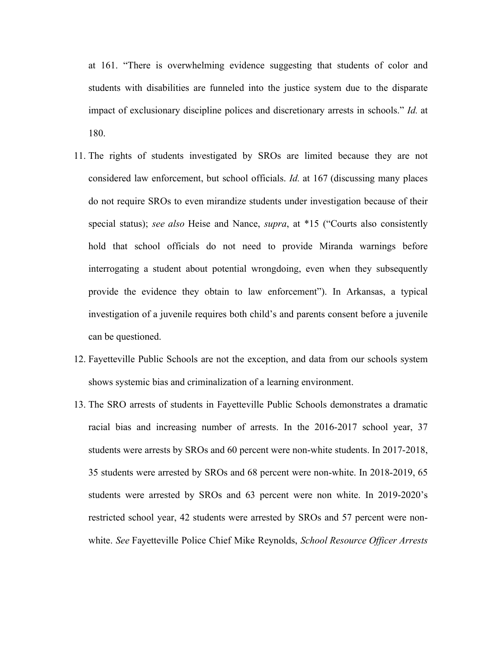at 161. "There is overwhelming evidence suggesting that students of color and students with disabilities are funneled into the justice system due to the disparate impact of exclusionary discipline polices and discretionary arrests in schools." *Id.* at 180.

- 11. The rights of students investigated by SROs are limited because they are not considered law enforcement, but school officials. *Id.* at 167 (discussing many places do not require SROs to even mirandize students under investigation because of their special status); *see also* Heise and Nance, *supra*, at \*15 ("Courts also consistently hold that school officials do not need to provide Miranda warnings before interrogating a student about potential wrongdoing, even when they subsequently provide the evidence they obtain to law enforcement"). In Arkansas, a typical investigation of a juvenile requires both child's and parents consent before a juvenile can be questioned.
- 12. Fayetteville Public Schools are not the exception, and data from our schools system shows systemic bias and criminalization of a learning environment.
- 13. The SRO arrests of students in Fayetteville Public Schools demonstrates a dramatic racial bias and increasing number of arrests. In the 2016-2017 school year, 37 students were arrests by SROs and 60 percent were non-white students. In 2017-2018, 35 students were arrested by SROs and 68 percent were non-white. In 2018-2019, 65 students were arrested by SROs and 63 percent were non white. In 2019-2020's restricted school year, 42 students were arrested by SROs and 57 percent were nonwhite. *See* Fayetteville Police Chief Mike Reynolds, *School Resource Officer Arrests*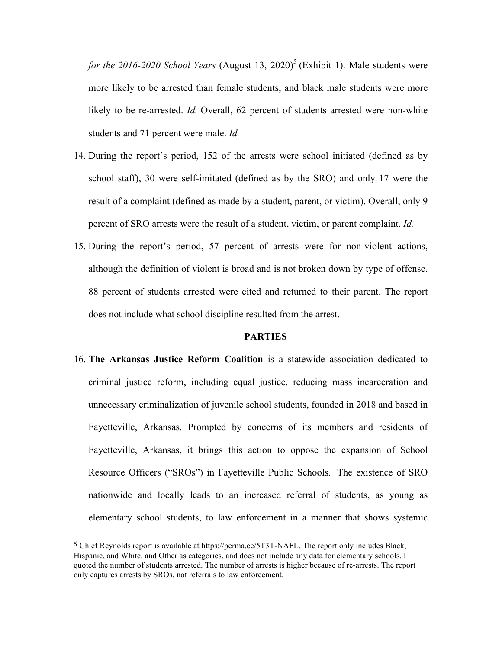*for the 2016-2020 School Years* (August 13, 2020)<sup>5</sup> (Exhibit 1). Male students were more likely to be arrested than female students, and black male students were more likely to be re-arrested. *Id.* Overall, 62 percent of students arrested were non-white students and 71 percent were male. *Id.* 

- 14. During the report's period, 152 of the arrests were school initiated (defined as by school staff), 30 were self-imitated (defined as by the SRO) and only 17 were the result of a complaint (defined as made by a student, parent, or victim). Overall, only 9 percent of SRO arrests were the result of a student, victim, or parent complaint. *Id.*
- 15. During the report's period, 57 percent of arrests were for non-violent actions, although the definition of violent is broad and is not broken down by type of offense. 88 percent of students arrested were cited and returned to their parent. The report does not include what school discipline resulted from the arrest.

#### **PARTIES**

16. **The Arkansas Justice Reform Coalition** is a statewide association dedicated to criminal justice reform, including equal justice, reducing mass incarceration and unnecessary criminalization of juvenile school students, founded in 2018 and based in Fayetteville, Arkansas. Prompted by concerns of its members and residents of Fayetteville, Arkansas, it brings this action to oppose the expansion of School Resource Officers ("SROs") in Fayetteville Public Schools. The existence of SRO nationwide and locally leads to an increased referral of students, as young as elementary school students, to law enforcement in a manner that shows systemic

 

<sup>5</sup> Chief Reynolds report is available at https://perma.cc/5T3T-NAFL. The report only includes Black, Hispanic, and White, and Other as categories, and does not include any data for elementary schools. I quoted the number of students arrested. The number of arrests is higher because of re-arrests. The report only captures arrests by SROs, not referrals to law enforcement.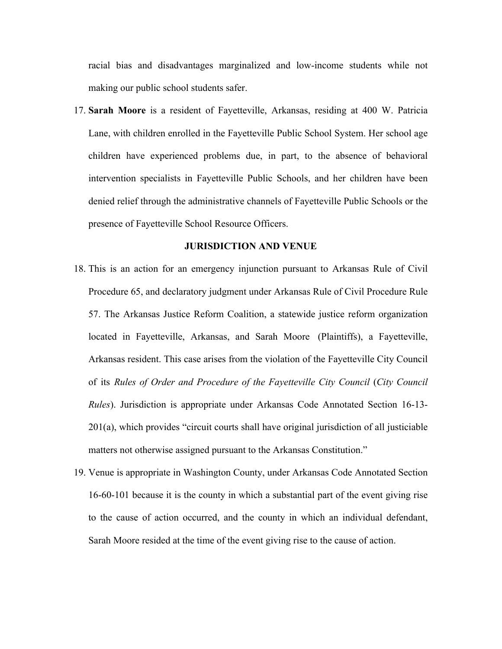racial bias and disadvantages marginalized and low-income students while not making our public school students safer.

17. **Sarah Moore** is a resident of Fayetteville, Arkansas, residing at 400 W. Patricia Lane, with children enrolled in the Fayetteville Public School System. Her school age children have experienced problems due, in part, to the absence of behavioral intervention specialists in Fayetteville Public Schools, and her children have been denied relief through the administrative channels of Fayetteville Public Schools or the presence of Fayetteville School Resource Officers.

#### **JURISDICTION AND VENUE**

- 18. This is an action for an emergency injunction pursuant to Arkansas Rule of Civil Procedure 65, and declaratory judgment under Arkansas Rule of Civil Procedure Rule 57. The Arkansas Justice Reform Coalition, a statewide justice reform organization located in Fayetteville, Arkansas, and Sarah Moore (Plaintiffs), a Fayetteville, Arkansas resident. This case arises from the violation of the Fayetteville City Council of its *Rules of Order and Procedure of the Fayetteville City Council* (*City Council Rules*). Jurisdiction is appropriate under Arkansas Code Annotated Section 16-13- 201(a), which provides "circuit courts shall have original jurisdiction of all justiciable matters not otherwise assigned pursuant to the Arkansas Constitution."
- 19. Venue is appropriate in Washington County, under Arkansas Code Annotated Section 16-60-101 because it is the county in which a substantial part of the event giving rise to the cause of action occurred, and the county in which an individual defendant, Sarah Moore resided at the time of the event giving rise to the cause of action.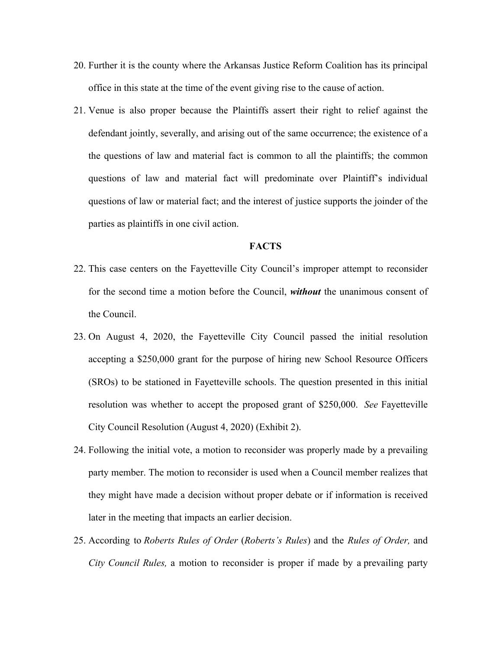- 20. Further it is the county where the Arkansas Justice Reform Coalition has its principal office in this state at the time of the event giving rise to the cause of action.
- 21. Venue is also proper because the Plaintiffs assert their right to relief against the defendant jointly, severally, and arising out of the same occurrence; the existence of a the questions of law and material fact is common to all the plaintiffs; the common questions of law and material fact will predominate over Plaintiff's individual questions of law or material fact; and the interest of justice supports the joinder of the parties as plaintiffs in one civil action.

#### **FACTS**

- 22. This case centers on the Fayetteville City Council's improper attempt to reconsider for the second time a motion before the Council, *without* the unanimous consent of the Council.
- 23. On August 4, 2020, the Fayetteville City Council passed the initial resolution accepting a \$250,000 grant for the purpose of hiring new School Resource Officers (SROs) to be stationed in Fayetteville schools. The question presented in this initial resolution was whether to accept the proposed grant of \$250,000. *See* Fayetteville City Council Resolution (August 4, 2020) (Exhibit 2).
- 24. Following the initial vote, a motion to reconsider was properly made by a prevailing party member. The motion to reconsider is used when a Council member realizes that they might have made a decision without proper debate or if information is received later in the meeting that impacts an earlier decision.
- 25. According to *Roberts Rules of Order* (*Roberts's Rules*) and the *Rules of Order,* and *City Council Rules,* a motion to reconsider is proper if made by a prevailing party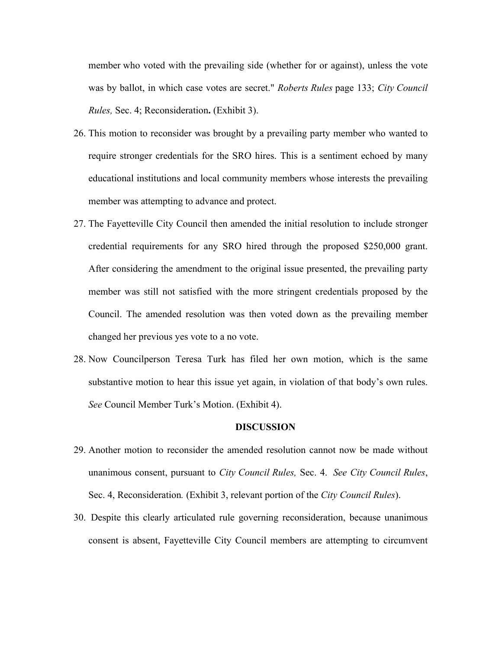member who voted with the prevailing side (whether for or against), unless the vote was by ballot, in which case votes are secret." *Roberts Rules* page 133; *City Council Rules,* Sec. 4; Reconsideration**.** (Exhibit 3).

- 26. This motion to reconsider was brought by a prevailing party member who wanted to require stronger credentials for the SRO hires. This is a sentiment echoed by many educational institutions and local community members whose interests the prevailing member was attempting to advance and protect.
- 27. The Fayetteville City Council then amended the initial resolution to include stronger credential requirements for any SRO hired through the proposed \$250,000 grant. After considering the amendment to the original issue presented, the prevailing party member was still not satisfied with the more stringent credentials proposed by the Council. The amended resolution was then voted down as the prevailing member changed her previous yes vote to a no vote.
- 28. Now Councilperson Teresa Turk has filed her own motion, which is the same substantive motion to hear this issue yet again, in violation of that body's own rules. *See* Council Member Turk's Motion. (Exhibit 4).

#### **DISCUSSION**

- 29. Another motion to reconsider the amended resolution cannot now be made without unanimous consent, pursuant to *City Council Rules,* Sec. 4. *See City Council Rules*, Sec. 4, Reconsideration*.* (Exhibit 3, relevant portion of the *City Council Rules*).
- 30. Despite this clearly articulated rule governing reconsideration, because unanimous consent is absent, Fayetteville City Council members are attempting to circumvent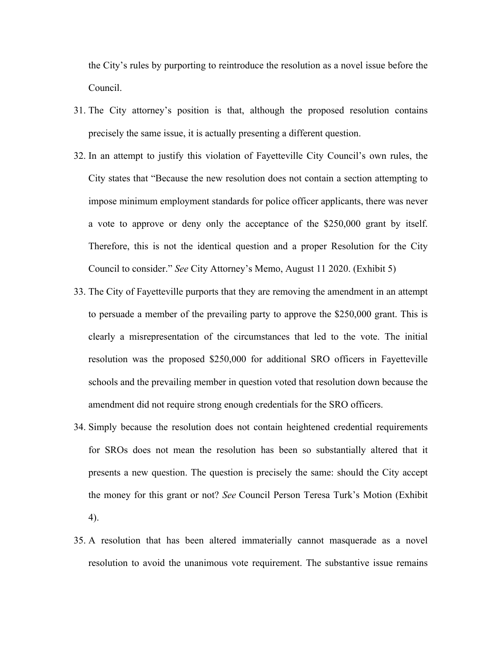the City's rules by purporting to reintroduce the resolution as a novel issue before the Council.

- 31. The City attorney's position is that, although the proposed resolution contains precisely the same issue, it is actually presenting a different question.
- 32. In an attempt to justify this violation of Fayetteville City Council's own rules, the City states that "Because the new resolution does not contain a section attempting to impose minimum employment standards for police officer applicants, there was never a vote to approve or deny only the acceptance of the \$250,000 grant by itself. Therefore, this is not the identical question and a proper Resolution for the City Council to consider." *See* City Attorney's Memo, August 11 2020. (Exhibit 5)
- 33. The City of Fayetteville purports that they are removing the amendment in an attempt to persuade a member of the prevailing party to approve the \$250,000 grant. This is clearly a misrepresentation of the circumstances that led to the vote. The initial resolution was the proposed \$250,000 for additional SRO officers in Fayetteville schools and the prevailing member in question voted that resolution down because the amendment did not require strong enough credentials for the SRO officers.
- 34. Simply because the resolution does not contain heightened credential requirements for SROs does not mean the resolution has been so substantially altered that it presents a new question. The question is precisely the same: should the City accept the money for this grant or not? *See* Council Person Teresa Turk's Motion (Exhibit 4).
- 35. A resolution that has been altered immaterially cannot masquerade as a novel resolution to avoid the unanimous vote requirement. The substantive issue remains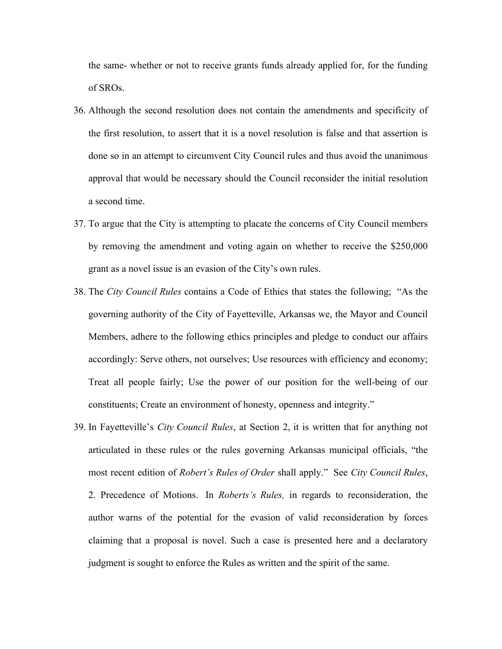the same- whether or not to receive grants funds already applied for, for the funding of SROs.

- 36. Although the second resolution does not contain the amendments and specificity of the first resolution, to assert that it is a novel resolution is false and that assertion is done so in an attempt to circumvent City Council rules and thus avoid the unanimous approval that would be necessary should the Council reconsider the initial resolution a second time.
- 37. To argue that the City is attempting to placate the concerns of City Council members by removing the amendment and voting again on whether to receive the \$250,000 grant as a novel issue is an evasion of the City's own rules.
- 38. The *City Council Rules* contains a Code of Ethics that states the following; "As the governing authority of the City of Fayetteville, Arkansas we, the Mayor and Council Members, adhere to the following ethics principles and pledge to conduct our affairs accordingly: Serve others, not ourselves; Use resources with efficiency and economy; Treat all people fairly; Use the power of our position for the well-being of our constituents; Create an environment of honesty, openness and integrity."
- 39. In Fayetteville's *City Council Rules*, at Section 2, it is written that for anything not articulated in these rules or the rules governing Arkansas municipal officials, "the most recent edition of *Robert's Rules of Order* shall apply." See *City Council Rules*, 2. Precedence of Motions. In *Roberts's Rules,* in regards to reconsideration, the author warns of the potential for the evasion of valid reconsideration by forces claiming that a proposal is novel. Such a case is presented here and a declaratory judgment is sought to enforce the Rules as written and the spirit of the same.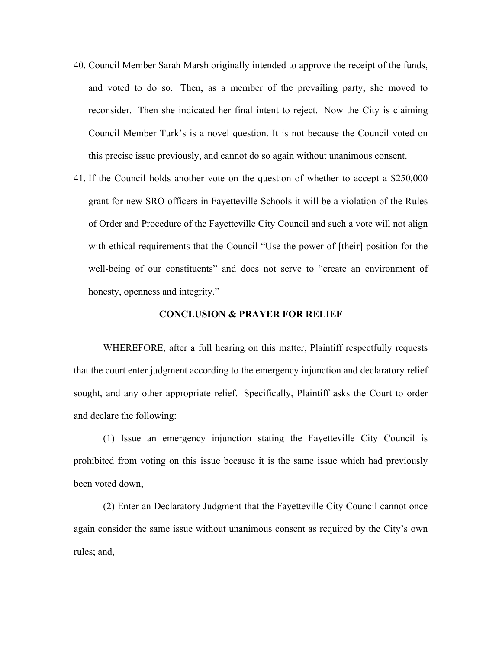- 40. Council Member Sarah Marsh originally intended to approve the receipt of the funds, and voted to do so. Then, as a member of the prevailing party, she moved to reconsider. Then she indicated her final intent to reject. Now the City is claiming Council Member Turk's is a novel question. It is not because the Council voted on this precise issue previously, and cannot do so again without unanimous consent.
- 41. If the Council holds another vote on the question of whether to accept a \$250,000 grant for new SRO officers in Fayetteville Schools it will be a violation of the Rules of Order and Procedure of the Fayetteville City Council and such a vote will not align with ethical requirements that the Council "Use the power of [their] position for the well-being of our constituents" and does not serve to "create an environment of honesty, openness and integrity."

#### **CONCLUSION & PRAYER FOR RELIEF**

WHEREFORE, after a full hearing on this matter, Plaintiff respectfully requests that the court enter judgment according to the emergency injunction and declaratory relief sought, and any other appropriate relief. Specifically, Plaintiff asks the Court to order and declare the following:

(1) Issue an emergency injunction stating the Fayetteville City Council is prohibited from voting on this issue because it is the same issue which had previously been voted down,

(2) Enter an Declaratory Judgment that the Fayetteville City Council cannot once again consider the same issue without unanimous consent as required by the City's own rules; and,